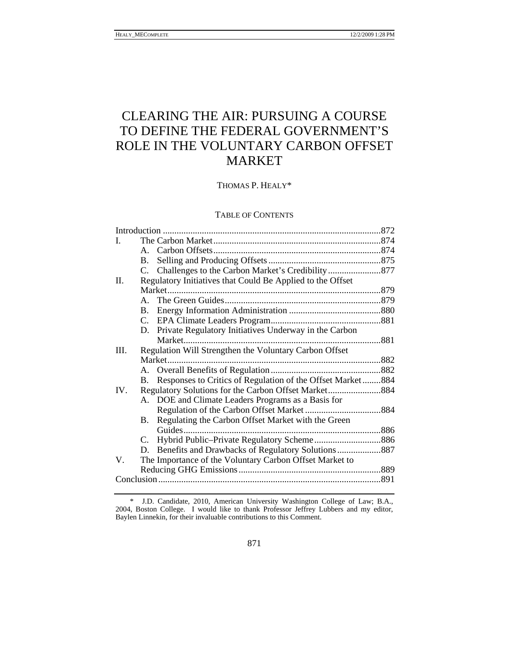# CLEARING THE AIR: PURSUING A COURSE TO DEFINE THE FEDERAL GOVERNMENT'S ROLE IN THE VOLUNTARY CARBON OFFSET MARKET

THOMAS P. HEALY\*

## TABLE OF CONTENTS

|     |              |                                                            | 872 |  |
|-----|--------------|------------------------------------------------------------|-----|--|
| L   |              |                                                            |     |  |
|     |              |                                                            |     |  |
|     | B.           |                                                            |     |  |
|     |              |                                                            |     |  |
| Π.  |              | Regulatory Initiatives that Could Be Applied to the Offset |     |  |
|     |              |                                                            |     |  |
|     | $\mathbf{A}$ |                                                            |     |  |
|     | B.           |                                                            |     |  |
|     |              |                                                            |     |  |
|     |              | D. Private Regulatory Initiatives Underway in the Carbon   |     |  |
|     |              |                                                            |     |  |
| Ш.  |              | Regulation Will Strengthen the Voluntary Carbon Offset     |     |  |
|     |              |                                                            |     |  |
|     |              |                                                            |     |  |
|     | В.           | Responses to Critics of Regulation of the Offset Market884 |     |  |
| IV. |              |                                                            |     |  |
|     |              | A. DOE and Climate Leaders Programs as a Basis for         |     |  |
|     |              |                                                            |     |  |
|     | B.           | Regulating the Carbon Offset Market with the Green         |     |  |
|     |              | Guides                                                     |     |  |
|     | C.           |                                                            |     |  |
|     | D.           |                                                            |     |  |
| V.  |              | The Importance of the Voluntary Carbon Offset Market to    |     |  |
|     |              |                                                            |     |  |
|     |              |                                                            |     |  |
|     |              |                                                            |     |  |

 <sup>\*</sup> J.D. Candidate, 2010, American University Washington College of Law; B.A., 2004, Boston College. I would like to thank Professor Jeffrey Lubbers and my editor, Baylen Linnekin, for their invaluable contributions to this Comment.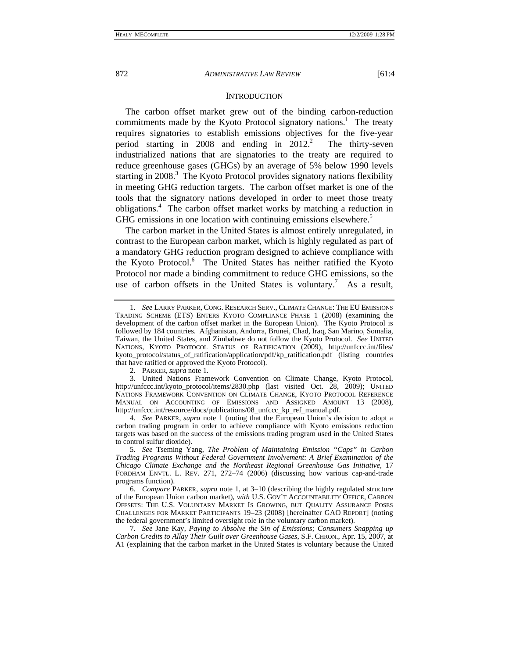#### **INTRODUCTION**

The carbon offset market grew out of the binding carbon-reduction commitments made by the Kyoto Protocol signatory nations.<sup>1</sup> The treaty requires signatories to establish emissions objectives for the five-year period starting in 2008 and ending in  $2012<sup>2</sup>$  The thirty-seven industrialized nations that are signatories to the treaty are required to reduce greenhouse gases (GHGs) by an average of 5% below 1990 levels starting in 2008. $3$  The Kyoto Protocol provides signatory nations flexibility in meeting GHG reduction targets. The carbon offset market is one of the tools that the signatory nations developed in order to meet those treaty obligations.<sup>4</sup> The carbon offset market works by matching a reduction in GHG emissions in one location with continuing emissions elsewhere.<sup>5</sup>

The carbon market in the United States is almost entirely unregulated, in contrast to the European carbon market, which is highly regulated as part of a mandatory GHG reduction program designed to achieve compliance with the Kyoto Protocol.<sup>6</sup> The United States has neither ratified the Kyoto Protocol nor made a binding commitment to reduce GHG emissions, so the use of carbon offsets in the United States is voluntary.<sup>7</sup> As a result,

2. PARKER, *supra* note 1.

 3. United Nations Framework Convention on Climate Change, Kyoto Protocol, http://unfccc.int/kyoto\_protocol/items/2830.php (last visited Oct. 28, 2009); UNITED NATIONS FRAMEWORK CONVENTION ON CLIMATE CHANGE, KYOTO PROTOCOL REFERENCE MANUAL ON ACCOUNTING OF EMISSIONS AND ASSIGNED AMOUNT 13 (2008), http://unfccc.int/resource/docs/publications/08\_unfccc\_kp\_ref\_manual.pdf.

4*. See* PARKER, *supra* note 1 (noting that the European Union's decision to adopt a carbon trading program in order to achieve compliance with Kyoto emissions reduction targets was based on the success of the emissions trading program used in the United States to control sulfur dioxide).

5*. See* Tseming Yang, *The Problem of Maintaining Emission "Caps" in Carbon Trading Programs Without Federal Government Involvement: A Brief Examination of the Chicago Climate Exchange and the Northeast Regional Greenhouse Gas Initiative*, 17 FORDHAM ENVTL. L. REV. 271, 272–74 (2006) (discussing how various cap-and-trade programs function).

6*. Compare* PARKER, *supra* note 1, at 3–10 (describing the highly regulated structure of the European Union carbon market), *with* U.S. GOV'T ACCOUNTABILITY OFFICE, CARBON OFFSETS: THE U.S. VOLUNTARY MARKET IS GROWING, BUT QUALITY ASSURANCE POSES CHALLENGES FOR MARKET PARTICIPANTS 19–23 (2008) [hereinafter GAO REPORT] (noting the federal government's limited oversight role in the voluntary carbon market).

7*. See* Jane Kay, *Paying to Absolve the Sin of Emissions; Consumers Snapping up Carbon Credits to Allay Their Guilt over Greenhouse Gases*, S.F. CHRON., Apr. 15, 2007, at A1 (explaining that the carbon market in the United States is voluntary because the United

<sup>1</sup>*. See* LARRY PARKER, CONG. RESEARCH SERV., CLIMATE CHANGE: THE EU EMISSIONS TRADING SCHEME (ETS) ENTERS KYOTO COMPLIANCE PHASE 1 (2008) (examining the development of the carbon offset market in the European Union). The Kyoto Protocol is followed by 184 countries. Afghanistan, Andorra, Brunei, Chad, Iraq, San Marino, Somalia, Taiwan, the United States, and Zimbabwe do not follow the Kyoto Protocol. *See* UNITED NATIONS, KYOTO PROTOCOL STATUS OF RATIFICATION (2009), http://unfccc.int/files/ kyoto\_protocol/status\_of\_ratification/application/pdf/kp\_ratification.pdf (listing countries that have ratified or approved the Kyoto Protocol).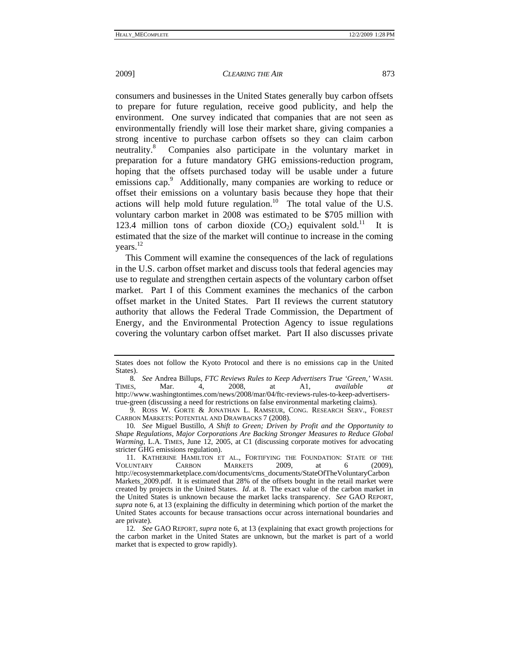consumers and businesses in the United States generally buy carbon offsets to prepare for future regulation, receive good publicity, and help the environment. One survey indicated that companies that are not seen as environmentally friendly will lose their market share, giving companies a strong incentive to purchase carbon offsets so they can claim carbon neutrality.<sup>8</sup> Companies also participate in the voluntary market in preparation for a future mandatory GHG emissions-reduction program, hoping that the offsets purchased today will be usable under a future emissions cap.<sup>9</sup> Additionally, many companies are working to reduce or offset their emissions on a voluntary basis because they hope that their actions will help mold future regulation.<sup>10</sup> The total value of the U.S. voluntary carbon market in 2008 was estimated to be \$705 million with 123.4 million tons of carbon dioxide  $(CO<sub>2</sub>)$  equivalent sold.<sup>11</sup> It is estimated that the size of the market will continue to increase in the coming vears. $^{12}$ 

This Comment will examine the consequences of the lack of regulations in the U.S. carbon offset market and discuss tools that federal agencies may use to regulate and strengthen certain aspects of the voluntary carbon offset market. Part I of this Comment examines the mechanics of the carbon offset market in the United States. Part II reviews the current statutory authority that allows the Federal Trade Commission, the Department of Energy, and the Environmental Protection Agency to issue regulations covering the voluntary carbon offset market. Part II also discusses private

States does not follow the Kyoto Protocol and there is no emissions cap in the United States).

<sup>8</sup>*. See* Andrea Billups, *FTC Reviews Rules to Keep Advertisers True 'Green*,*'* WASH. TIMES, Mar. 4, 2008, at A1, *available at*  http://www.washingtontimes.com/news/2008/mar/04/ftc-reviews-rules-to-keep-advertiserstrue-green (discussing a need for restrictions on false environmental marketing claims).

 <sup>9.</sup> ROSS W. GORTE & JONATHAN L. RAMSEUR, CONG. RESEARCH SERV., FOREST CARBON MARKETS: POTENTIAL AND DRAWBACKS 7 (2008).

<sup>10</sup>*. See* Miguel Bustillo, *A Shift to Green; Driven by Profit and the Opportunity to Shape Regulations, Major Corporations Are Backing Stronger Measures to Reduce Global Warming*, L.A. TIMES, June 12, 2005, at C1 (discussing corporate motives for advocating stricter GHG emissions regulation).

 <sup>11.</sup> KATHERINE HAMILTON ET AL., FORTIFYING THE FOUNDATION: STATE OF THE VOLUNTARY CARBON MARKETS 2009, at 6 (2009), http://ecosystemmarketplace.com/documents/cms\_documents/StateOfTheVoluntaryCarbon Markets\_2009.pdf. It is estimated that 28% of the offsets bought in the retail market were created by projects in the United States. *Id*. at 8. The exact value of the carbon market in the United States is unknown because the market lacks transparency. *See* GAO REPORT, *supra* note 6, at 13 (explaining the difficulty in determining which portion of the market the United States accounts for because transactions occur across international boundaries and are private).

<sup>12</sup>*. See* GAO REPORT, *supra* note 6, at 13 (explaining that exact growth projections for the carbon market in the United States are unknown, but the market is part of a world market that is expected to grow rapidly).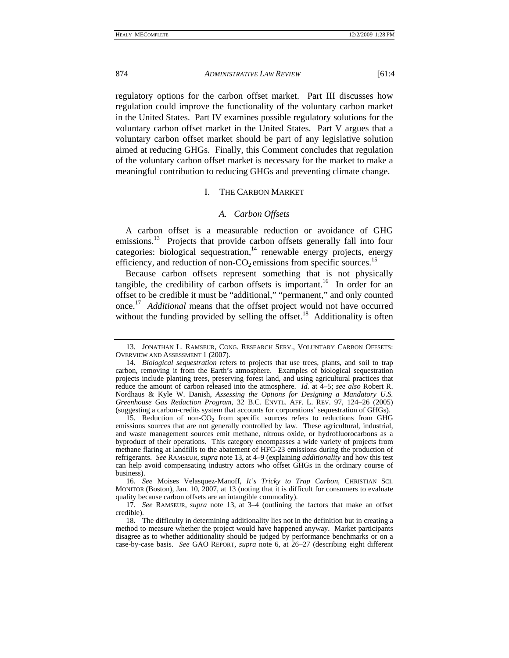regulatory options for the carbon offset market. Part III discusses how regulation could improve the functionality of the voluntary carbon market in the United States. Part IV examines possible regulatory solutions for the voluntary carbon offset market in the United States. Part V argues that a voluntary carbon offset market should be part of any legislative solution aimed at reducing GHGs. Finally, this Comment concludes that regulation of the voluntary carbon offset market is necessary for the market to make a meaningful contribution to reducing GHGs and preventing climate change.

## I. THE CARBON MARKET

## *A. Carbon Offsets*

A carbon offset is a measurable reduction or avoidance of GHG emissions.<sup>13</sup> Projects that provide carbon offsets generally fall into four categories: biological sequestration,<sup>14</sup> renewable energy projects, energy efficiency, and reduction of non- $CO<sub>2</sub>$  emissions from specific sources.<sup>15</sup>

Because carbon offsets represent something that is not physically tangible, the credibility of carbon offsets is important.<sup>16</sup> In order for an offset to be credible it must be "additional," "permanent," and only counted once.17 *Additional* means that the offset project would not have occurred without the funding provided by selling the offset.<sup>18</sup> Additionality is often

16*. See* Moises Velasquez-Manoff, *It's Tricky to Trap Carbon*, CHRISTIAN SCI. MONITOR (Boston), Jan. 10, 2007, at 13 (noting that it is difficult for consumers to evaluate quality because carbon offsets are an intangible commodity).

 <sup>13.</sup> JONATHAN L. RAMSEUR, CONG. RESEARCH SERV., VOLUNTARY CARBON OFFSETS: OVERVIEW AND ASSESSMENT 1 (2007).

 <sup>14.</sup> *Biological sequestration* refers to projects that use trees, plants, and soil to trap carbon, removing it from the Earth's atmosphere. Examples of biological sequestration projects include planting trees, preserving forest land, and using agricultural practices that reduce the amount of carbon released into the atmosphere. *Id.* at 4–5; *see also* Robert R. Nordhaus & Kyle W. Danish, *Assessing the Options for Designing a Mandatory U.S. Greenhouse Gas Reduction Program*, 32 B.C. ENVTL. AFF. L. REV. 97, 124–26 (2005) (suggesting a carbon-credits system that accounts for corporations' sequestration of GHGs).

<sup>15.</sup> Reduction of non- $CO<sub>2</sub>$  from specific sources refers to reductions from GHG emissions sources that are not generally controlled by law. These agricultural, industrial, and waste management sources emit methane, nitrous oxide, or hydrofluorocarbons as a byproduct of their operations. This category encompasses a wide variety of projects from methane flaring at landfills to the abatement of HFC-23 emissions during the production of refrigerants. *See* RAMSEUR, *supra* note 13, at 4–9 (explaining *additionality* and how this test can help avoid compensating industry actors who offset GHGs in the ordinary course of business).

<sup>17</sup>*. See* RAMSEUR, *supra* note 13, at 3–4 (outlining the factors that make an offset credible).

 <sup>18.</sup> The difficulty in determining additionality lies not in the definition but in creating a method to measure whether the project would have happened anyway. Market participants disagree as to whether additionality should be judged by performance benchmarks or on a case-by-case basis. *See* GAO REPORT, *supra* note 6, at 26–27 (describing eight different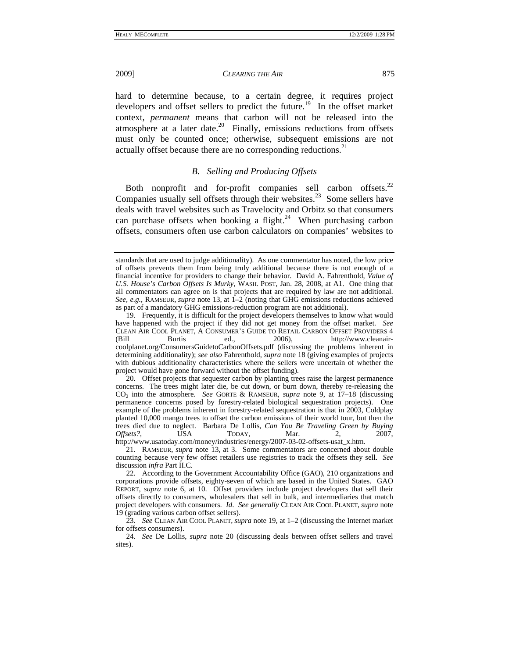hard to determine because, to a certain degree, it requires project developers and offset sellers to predict the future.<sup>19</sup> In the offset market context, *permanent* means that carbon will not be released into the atmosphere at a later date.<sup>20</sup> Finally, emissions reductions from offsets must only be counted once; otherwise, subsequent emissions are not actually offset because there are no corresponding reductions.<sup>21</sup>

# *B. Selling and Producing Offsets*

Both nonprofit and for-profit companies sell carbon offsets.<sup>22</sup> Companies usually sell offsets through their websites.<sup>23</sup> Some sellers have deals with travel websites such as Travelocity and Orbitz so that consumers can purchase offsets when booking a flight.<sup>24</sup> When purchasing carbon offsets, consumers often use carbon calculators on companies' websites to

standards that are used to judge additionality).As one commentator has noted, the low price of offsets prevents them from being truly additional because there is not enough of a financial incentive for providers to change their behavior. David A. Fahrenthold, *Value of U.S. House's Carbon Offsets Is Murky*, WASH. POST, Jan. 28, 2008, at A1. One thing that all commentators can agree on is that projects that are required by law are not additional. *See, e.g.*, RAMSEUR, *supra* note 13, at 1–2 (noting that GHG emissions reductions achieved as part of a mandatory GHG emissions-reduction program are not additional).

 <sup>19.</sup> Frequently, it is difficult for the project developers themselves to know what would have happened with the project if they did not get money from the offset market*. See* CLEAN AIR COOL PLANET, A CONSUMER'S GUIDE TO RETAIL CARBON OFFSET PROVIDERS 4 ed., 2006), http://www.cleanaircoolplanet.org/ConsumersGuidetoCarbonOffsets.pdf (discussing the problems inherent in determining additionality); *see also* Fahrenthold, *supra* note 18 (giving examples of projects with dubious additionality characteristics where the sellers were uncertain of whether the project would have gone forward without the offset funding).

 <sup>20.</sup> Offset projects that sequester carbon by planting trees raise the largest permanence concerns. The trees might later die, be cut down, or burn down, thereby re-releasing the CO2 into the atmosphere. *See* GORTE & RAMSEUR, *supra* note 9, at 17–18 (discussing permanence concerns posed by forestry-related biological sequestration projects). One example of the problems inherent in forestry-related sequestration is that in 2003, Coldplay planted 10,000 mango trees to offset the carbon emissions of their world tour, but then the trees died due to neglect. Barbara De Lollis, *Can You Be Traveling Green by Buying Offsets?*, USA TODAY, Mar. 2, 2007, http://www.usatoday.com/money/industries/energy/2007-03-02-offsets-usat\_x.htm.

 <sup>21.</sup> RAMSEUR, *supra* note 13, at 3. Some commentators are concerned about double counting because very few offset retailers use registries to track the offsets they sell. *See*  discussion *infra* Part II.C.

 <sup>22.</sup> According to the Government Accountability Office (GAO), 210 organizations and corporations provide offsets, eighty-seven of which are based in the United States. GAO REPORT, *supra* note 6, at 10. Offset providers include project developers that sell their offsets directly to consumers, wholesalers that sell in bulk, and intermediaries that match project developers with consumers. *Id*. *See generally* CLEAN AIR COOL PLANET, *supra* note 19 (grading various carbon offset sellers).

<sup>23</sup>*. See* CLEAN AIR COOL PLANET, *supra* note 19, at 1–2 (discussing the Internet market for offsets consumers).

<sup>24</sup>*. See* De Lollis, *supra* note 20 (discussing deals between offset sellers and travel sites).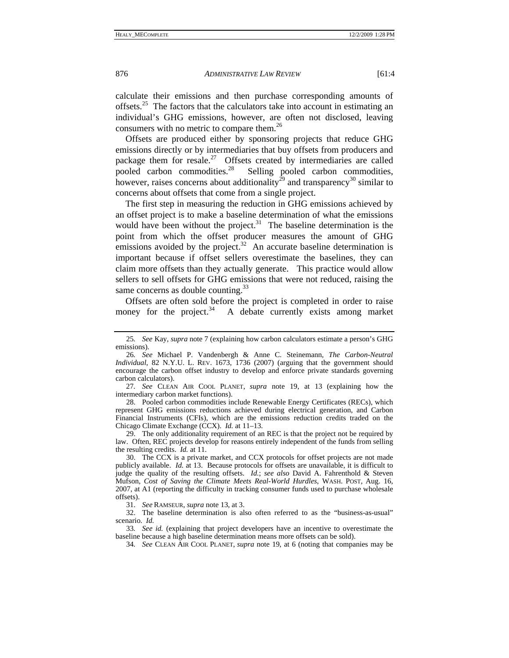calculate their emissions and then purchase corresponding amounts of offsets.<sup>25</sup> The factors that the calculators take into account in estimating an individual's GHG emissions, however, are often not disclosed, leaving consumers with no metric to compare them.<sup>26</sup>

Offsets are produced either by sponsoring projects that reduce GHG emissions directly or by intermediaries that buy offsets from producers and package them for resale.<sup>27</sup> Offsets created by intermediaries are called pooled carbon commodities.<sup>28</sup> Selling pooled carbon commodities, however, raises concerns about additionality<sup>29</sup> and transparency<sup>30</sup> similar to concerns about offsets that come from a single project.

The first step in measuring the reduction in GHG emissions achieved by an offset project is to make a baseline determination of what the emissions would have been without the project.<sup>31</sup> The baseline determination is the point from which the offset producer measures the amount of GHG emissions avoided by the project.<sup>32</sup> An accurate baseline determination is important because if offset sellers overestimate the baselines, they can claim more offsets than they actually generate. This practice would allow sellers to sell offsets for GHG emissions that were not reduced, raising the same concerns as double counting.<sup>33</sup>

Offsets are often sold before the project is completed in order to raise money for the project.<sup>34</sup> A debate currently exists among market

 28. Pooled carbon commodities include Renewable Energy Certificates (RECs), which represent GHG emissions reductions achieved during electrical generation, and Carbon Financial Instruments (CFIs), which are the emissions reduction credits traded on the Chicago Climate Exchange (CCX). *Id.* at 11–13.

 29. The only additionality requirement of an REC is that the project not be required by law. Often, REC projects develop for reasons entirely independent of the funds from selling the resulting credits. *Id.* at 11.

 30. The CCX is a private market, and CCX protocols for offset projects are not made publicly available. *Id.* at 13. Because protocols for offsets are unavailable, it is difficult to judge the quality of the resulting offsets. *Id.*; *see also* David A. Fahrenthold & Steven Mufson, *Cost of Saving the Climate Meets Real-World Hurdles*, WASH. POST, Aug. 16, 2007, at A1 (reporting the difficulty in tracking consumer funds used to purchase wholesale offsets).

31. *See* RAMSEUR, *supra* note 13, at 3.

 32. The baseline determination is also often referred to as the "business-as-usual" scenario. *Id.*

33*. See id.* (explaining that project developers have an incentive to overestimate the baseline because a high baseline determination means more offsets can be sold).

<sup>25</sup>*. See* Kay, *supra* note 7 (explaining how carbon calculators estimate a person's GHG emissions).

<sup>26</sup>*. See* Michael P. Vandenbergh & Anne C. Steinemann, *The Carbon-Neutral Individual*, 82 N.Y.U. L. REV. 1673, 1736 (2007) (arguing that the government should encourage the carbon offset industry to develop and enforce private standards governing carbon calculators).

<sup>27</sup>*. See* CLEAN AIR COOL PLANET, *supra* note 19, at 13 (explaining how the intermediary carbon market functions).

<sup>34</sup>*. See* CLEAN AIR COOL PLANET, *supra* note 19, at 6 (noting that companies may be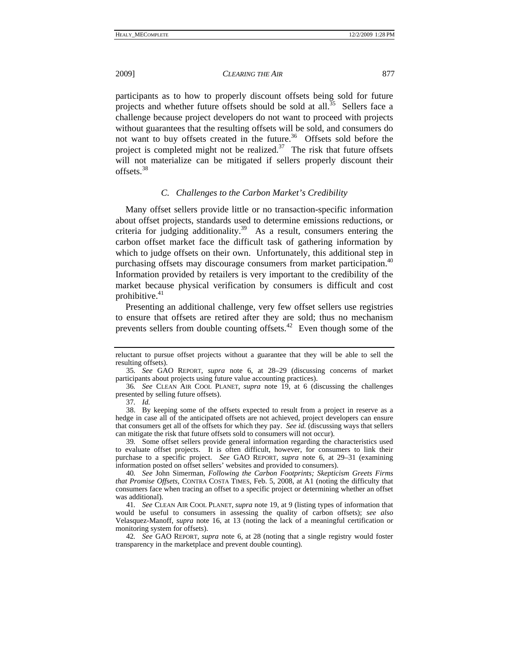2009] *CLEARING THE AIR* 877

participants as to how to properly discount offsets being sold for future projects and whether future offsets should be sold at all.<sup>35</sup> Sellers face a challenge because project developers do not want to proceed with projects without guarantees that the resulting offsets will be sold, and consumers do not want to buy offsets created in the future.<sup>36</sup> Offsets sold before the project is completed might not be realized.<sup>37</sup> The risk that future offsets will not materialize can be mitigated if sellers properly discount their offsets.<sup>38</sup>

## *C. Challenges to the Carbon Market's Credibility*

Many offset sellers provide little or no transaction-specific information about offset projects, standards used to determine emissions reductions, or criteria for judging additionality.<sup>39</sup> As a result, consumers entering the carbon offset market face the difficult task of gathering information by which to judge offsets on their own. Unfortunately, this additional step in purchasing offsets may discourage consumers from market participation.<sup>40</sup> Information provided by retailers is very important to the credibility of the market because physical verification by consumers is difficult and cost prohibitive. $41$ 

Presenting an additional challenge, very few offset sellers use registries to ensure that offsets are retired after they are sold; thus no mechanism prevents sellers from double counting offsets.<sup> $42$ </sup> Even though some of the

reluctant to pursue offset projects without a guarantee that they will be able to sell the resulting offsets).

<sup>35</sup>*. See* GAO REPORT, *supra* note 6, at 28–29 (discussing concerns of market participants about projects using future value accounting practices).

<sup>36</sup>*. See* CLEAN AIR COOL PLANET, *supra* note 19, at 6 (discussing the challenges presented by selling future offsets).

<sup>37</sup>*. Id.*

 <sup>38.</sup> By keeping some of the offsets expected to result from a project in reserve as a hedge in case all of the anticipated offsets are not achieved, project developers can ensure that consumers get all of the offsets for which they pay. *See id.* (discussing ways that sellers can mitigate the risk that future offsets sold to consumers will not occur).

<sup>39</sup>*.* Some offset sellers provide general information regarding the characteristics used to evaluate offset projects. It is often difficult, however, for consumers to link their purchase to a specific project. *See* GAO REPORT, *supra* note 6, at 29–31 (examining information posted on offset sellers' websites and provided to consumers).

<sup>40</sup>*. See* John Simerman, *Following the Carbon Footprints; Skepticism Greets Firms that Promise Offsets*, CONTRA COSTA TIMES, Feb. 5, 2008, at A1 (noting the difficulty that consumers face when tracing an offset to a specific project or determining whether an offset was additional).

<sup>41</sup>*. See* CLEAN AIR COOL PLANET, *supra* note 19, at 9 (listing types of information that would be useful to consumers in assessing the quality of carbon offsets); *see also*  Velasquez-Manoff, *supra* note 16, at 13 (noting the lack of a meaningful certification or monitoring system for offsets).

<sup>42</sup>*. See* GAO REPORT, *supra* note 6, at 28 (noting that a single registry would foster transparency in the marketplace and prevent double counting).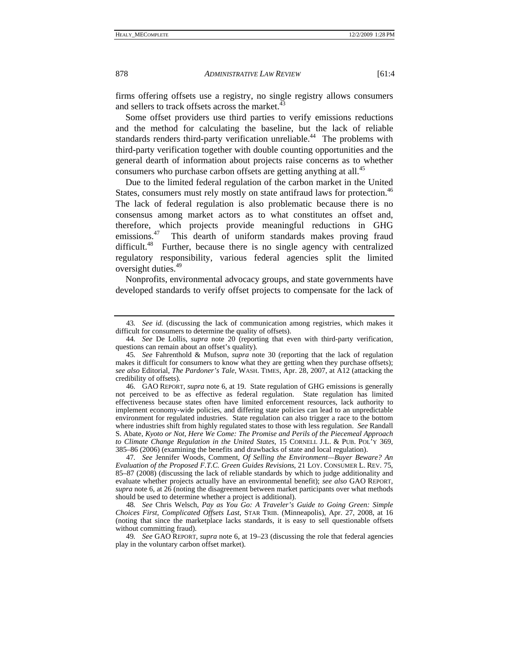firms offering offsets use a registry, no single registry allows consumers and sellers to track offsets across the market.<sup>43</sup>

Some offset providers use third parties to verify emissions reductions and the method for calculating the baseline, but the lack of reliable standards renders third-party verification unreliable.<sup>44</sup> The problems with third-party verification together with double counting opportunities and the general dearth of information about projects raise concerns as to whether consumers who purchase carbon offsets are getting anything at all.<sup>45</sup>

Due to the limited federal regulation of the carbon market in the United States, consumers must rely mostly on state antifraud laws for protection.<sup>46</sup> The lack of federal regulation is also problematic because there is no consensus among market actors as to what constitutes an offset and, therefore, which projects provide meaningful reductions in GHG emissions.<sup>47</sup> This dearth of uniform standards makes proving fraud difficult.<sup>48</sup> Further, because there is no single agency with centralized regulatory responsibility, various federal agencies split the limited oversight duties.<sup>49</sup>

Nonprofits, environmental advocacy groups, and state governments have developed standards to verify offset projects to compensate for the lack of

<sup>43</sup>*. See id.* (discussing the lack of communication among registries, which makes it difficult for consumers to determine the quality of offsets).

<sup>44</sup>*. See* De Lollis, *supra* note 20 (reporting that even with third-party verification, questions can remain about an offset's quality).

<sup>45</sup>*. See* Fahrenthold & Mufson, *supra* note 30 (reporting that the lack of regulation makes it difficult for consumers to know what they are getting when they purchase offsets); *see also* Editorial, *The Pardoner's Tale*, WASH. TIMES, Apr. 28, 2007, at A12 (attacking the credibility of offsets).

 <sup>46.</sup> GAO REPORT, *supra* note 6, at 19. State regulation of GHG emissions is generally not perceived to be as effective as federal regulation. State regulation has limited effectiveness because states often have limited enforcement resources, lack authority to implement economy-wide policies, and differing state policies can lead to an unpredictable environment for regulated industries. State regulation can also trigger a race to the bottom where industries shift from highly regulated states to those with less regulation. *See* Randall S. Abate, *Kyoto or Not, Here We Come: The Promise and Perils of the Piecemeal Approach to Climate Change Regulation in the United States*, 15 CORNELL J.L. & PUB. POL'Y 369, 385–86 (2006) (examining the benefits and drawbacks of state and local regulation).

<sup>47</sup>*. See* Jennifer Woods, Comment, *Of Selling the Environment—Buyer Beware? An Evaluation of the Proposed F.T.C. Green Guides Revisions*, 21 LOY. CONSUMER L. REV. 75, 85–87 (2008) (discussing the lack of reliable standards by which to judge additionality and evaluate whether projects actually have an environmental benefit); *see also* GAO REPORT, *supra* note 6, at 26 (noting the disagreement between market participants over what methods should be used to determine whether a project is additional).

<sup>48</sup>*. See* Chris Welsch, *Pay as You Go: A Traveler's Guide to Going Green: Simple Choices First, Complicated Offsets Last*, STAR TRIB. (Minneapolis), Apr. 27, 2008, at 16 (noting that since the marketplace lacks standards, it is easy to sell questionable offsets without committing fraud).

<sup>49</sup>*. See* GAO REPORT, *supra* note 6, at 19–23 (discussing the role that federal agencies play in the voluntary carbon offset market).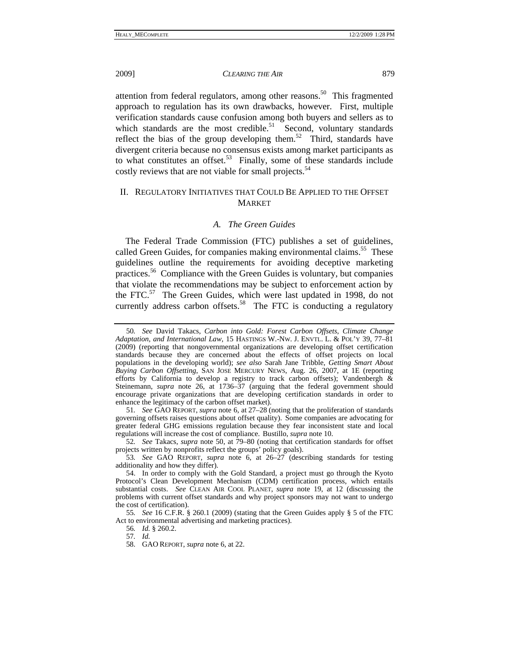attention from federal regulators, among other reasons.<sup>50</sup> This fragmented approach to regulation has its own drawbacks, however. First, multiple verification standards cause confusion among both buyers and sellers as to which standards are the most credible.<sup>51</sup> Second, voluntary standards reflect the bias of the group developing them.<sup>52</sup> Third, standards have divergent criteria because no consensus exists among market participants as to what constitutes an offset.<sup>53</sup> Finally, some of these standards include costly reviews that are not viable for small projects.<sup>54</sup>

# II. REGULATORY INITIATIVES THAT COULD BE APPLIED TO THE OFFSET **MARKET**

## *A. The Green Guides*

The Federal Trade Commission (FTC) publishes a set of guidelines, called Green Guides, for companies making environmental claims.<sup>55</sup> These guidelines outline the requirements for avoiding deceptive marketing practices.56 Compliance with the Green Guides is voluntary, but companies that violate the recommendations may be subject to enforcement action by the FTC.<sup>57</sup> The Green Guides, which were last updated in 1998, do not currently address carbon offsets.<sup>58</sup> The FTC is conducting a regulatory

51*. See* GAO REPORT, *supra* note 6, at 27–28 (noting that the proliferation of standards governing offsets raises questions about offset quality). Some companies are advocating for greater federal GHG emissions regulation because they fear inconsistent state and local regulations will increase the cost of compliance. Bustillo, *supra* note 10.

52*. See* Takacs, *supra* note 50, at 79–80 (noting that certification standards for offset projects written by nonprofits reflect the groups' policy goals).

53*. See* GAO REPORT, *supra* note 6, at 26–27 (describing standards for testing additionality and how they differ).

 54. In order to comply with the Gold Standard, a project must go through the Kyoto Protocol's Clean Development Mechanism (CDM) certification process, which entails substantial costs. *See* CLEAN AIR COOL PLANET, *supra* note 19, at 12 (discussing the problems with current offset standards and why project sponsors may not want to undergo the cost of certification).

55*. See* 16 C.F.R. § 260.1 (2009) (stating that the Green Guides apply § 5 of the FTC Act to environmental advertising and marketing practices).

56*. Id.* § 260.2.

57*. Id.*

58. GAO REPORT, *supra* note 6, at 22.

<sup>50</sup>*. See* David Takacs, *Carbon into Gold: Forest Carbon Offsets, Climate Change Adaptation, and International Law*, 15 HASTINGS W.-NW. J. ENVTL. L. & POL'Y 39, 77–81 (2009) (reporting that nongovernmental organizations are developing offset certification standards because they are concerned about the effects of offset projects on local populations in the developing world); *see also* Sarah Jane Tribble, *Getting Smart About Buying Carbon Offsetting*, SAN JOSE MERCURY NEWS, Aug. 26, 2007, at 1E (reporting efforts by California to develop a registry to track carbon offsets); Vandenbergh & Steinemann, *supra* note 26, at 1736–37 (arguing that the federal government should encourage private organizations that are developing certification standards in order to enhance the legitimacy of the carbon offset market).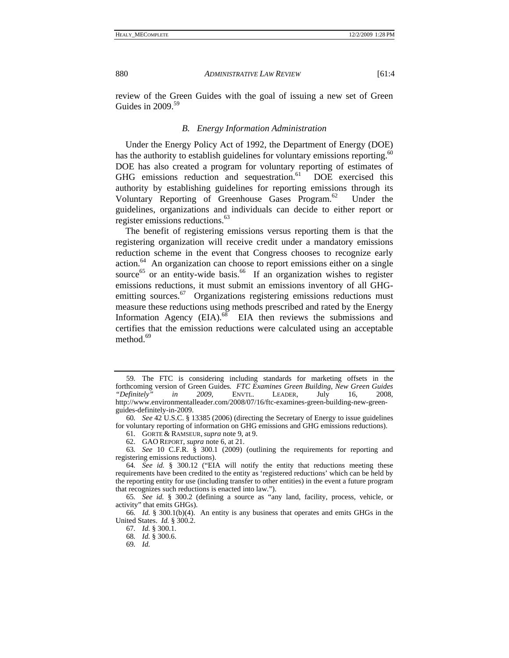review of the Green Guides with the goal of issuing a new set of Green Guides in  $2009$ .<sup>59</sup>

## *B. Energy Information Administration*

Under the Energy Policy Act of 1992, the Department of Energy (DOE) has the authority to establish guidelines for voluntary emissions reporting.<sup>60</sup> DOE has also created a program for voluntary reporting of estimates of GHG emissions reduction and sequestration.<sup>61</sup> DOE exercised this authority by establishing guidelines for reporting emissions through its Voluntary Reporting of Greenhouse Gases Program.<sup>62</sup> Under the guidelines, organizations and individuals can decide to either report or register emissions reductions.63

The benefit of registering emissions versus reporting them is that the registering organization will receive credit under a mandatory emissions reduction scheme in the event that Congress chooses to recognize early action. $64$  An organization can choose to report emissions either on a single source<sup>65</sup> or an entity-wide basis.<sup>66</sup> If an organization wishes to register emissions reductions, it must submit an emissions inventory of all GHGemitting sources.<sup>67</sup> Organizations registering emissions reductions must measure these reductions using methods prescribed and rated by the Energy Information Agency  $(EIA)$ .<sup>68</sup> EIA then reviews the submissions and certifies that the emission reductions were calculated using an acceptable method. $69$ 

<sup>59</sup>*.* The FTC is considering including standards for marketing offsets in the forthcoming version of Green Guides*. FTC Examines Green Building, New Green Guides "Definitely" in 2009*, ENVTL. LEADER, July 16, 2008, http://www.environmentalleader.com/2008/07/16/ftc-examines-green-building-new-greenguides-definitely-in-2009.

<sup>60</sup>*. See* 42 U.S.C. § 13385 (2006) (directing the Secretary of Energy to issue guidelines for voluntary reporting of information on GHG emissions and GHG emissions reductions).

<sup>61</sup>*.* GORTE & RAMSEUR, *supra* note 9, at 9.

 <sup>62.</sup> GAO REPORT, *supra* note 6, at 21.

<sup>63</sup>*. See* 10 C.F.R. § 300.1 (2009) (outlining the requirements for reporting and registering emissions reductions).

<sup>64</sup>*. See id.* § 300.12 ("EIA will notify the entity that reductions meeting these requirements have been credited to the entity as 'registered reductions' which can be held by the reporting entity for use (including transfer to other entities) in the event a future program that recognizes such reductions is enacted into law.").

<sup>65</sup>*. See id.* § 300.2 (defining a source as "any land, facility, process, vehicle, or activity" that emits GHGs).

<sup>66</sup>*. Id.* § 300.1(b)(4). An entity is any business that operates and emits GHGs in the United States. *Id.* § 300.2.

<sup>67</sup>*. Id.* § 300.1.

<sup>68</sup>*. Id.* § 300.6.

<sup>69</sup>*. Id.*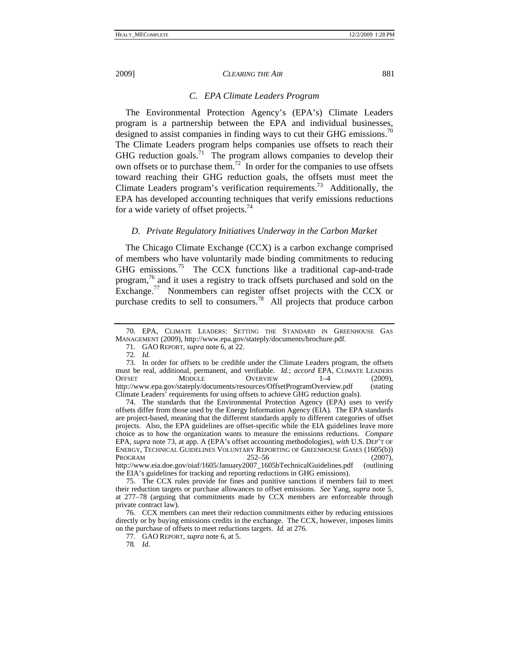#### *C. EPA Climate Leaders Program*

The Environmental Protection Agency's (EPA's) Climate Leaders program is a partnership between the EPA and individual businesses, designed to assist companies in finding ways to cut their GHG emissions.<sup>70</sup> The Climate Leaders program helps companies use offsets to reach their GHG reduction goals. $^{71}$  The program allows companies to develop their own offsets or to purchase them.<sup>72</sup> In order for the companies to use offsets toward reaching their GHG reduction goals, the offsets must meet the Climate Leaders program's verification requirements.<sup>73</sup> Additionally, the EPA has developed accounting techniques that verify emissions reductions for a wide variety of offset projects.<sup>74</sup>

#### *D. Private Regulatory Initiatives Underway in the Carbon Market*

The Chicago Climate Exchange (CCX) is a carbon exchange comprised of members who have voluntarily made binding commitments to reducing GHG emissions.75 The CCX functions like a traditional cap-and-trade program,76 and it uses a registry to track offsets purchased and sold on the Exchange.77 Nonmembers can register offset projects with the CCX or purchase credits to sell to consumers.<sup>78</sup> All projects that produce carbon

the EIA's guidelines for tracking and reporting reductions in GHG emissions).

78*. Id.*

<sup>70</sup>*.* EPA, CLIMATE LEADERS: SETTING THE STANDARD IN GREENHOUSE GAS MANAGEMENT (2009), http://www.epa.gov/stateply/documents/brochure.pdf.

 <sup>71.</sup> GAO REPORT, *supra* note 6, at 22.

<sup>72</sup>*. Id.*

 <sup>73.</sup> In order for offsets to be credible under the Climate Leaders program, the offsets must be real, additional, permanent, and verifiable. *Id.*; *accord* EPA, CLIMATE LEADERS OFFSET MODULE OVERVIEW 1-4 (2009), http://www.epa.gov/stateply/documents/resources/OffsetProgramOverview.pdf (stating Climate Leaders' requirements for using offsets to achieve GHG reduction goals).

 <sup>74.</sup> The standards that the Environmental Protection Agency (EPA) uses to verify offsets differ from those used by the Energy Information Agency (EIA). The EPA standards are project-based, meaning that the different standards apply to different categories of offset projects. Also, the EPA guidelines are offset-specific while the EIA guidelines leave more choice as to how the organization wants to measure the emissions reductions. *Compare*  EPA, *supra* note 73, at app. A (EPA's offset accounting methodologies), *with* U.S. DEP'T OF ENERGY, TECHNICAL GUIDELINES VOLUNTARY REPORTING OF GREENHOUSE GASES (1605(b)) PROGRAM 252–56 (2007), http://www.eia.doe.gov/oiaf/1605/January2007\_1605bTechnicalGuidelines.pdf (outlining

 <sup>75.</sup> The CCX rules provide for fines and punitive sanctions if members fail to meet their reduction targets or purchase allowances to offset emissions. *See* Yang, *supra* note 5, at 277–78 (arguing that commitments made by CCX members are enforceable through private contract law).

 <sup>76.</sup> CCX members can meet their reduction commitments either by reducing emissions directly or by buying emissions credits in the exchange. The CCX, however, imposes limits on the purchase of offsets to meet reductions targets. *Id.* at 276.

 <sup>77.</sup> GAO REPORT, *supra* note 6, at 5.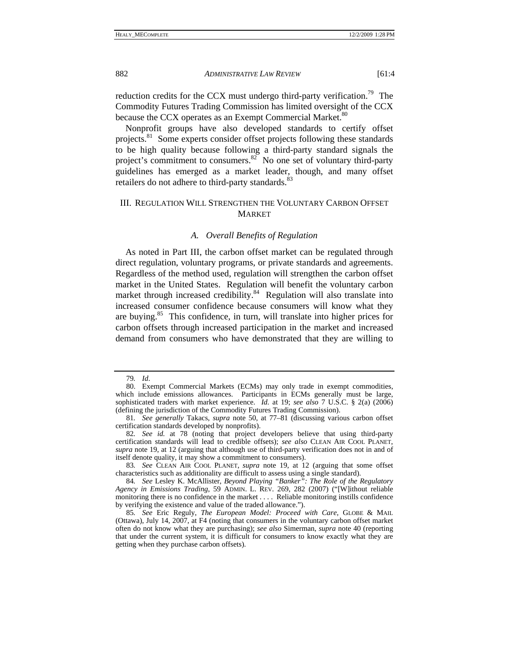reduction credits for the CCX must undergo third-party verification.<sup>79</sup> The Commodity Futures Trading Commission has limited oversight of the CCX because the CCX operates as an Exempt Commercial Market.<sup>80</sup>

Nonprofit groups have also developed standards to certify offset projects.<sup>81</sup> Some experts consider offset projects following these standards to be high quality because following a third-party standard signals the project's commitment to consumers.<sup>82</sup> No one set of voluntary third-party guidelines has emerged as a market leader, though, and many offset retailers do not adhere to third-party standards. $83$ 

## III. REGULATION WILL STRENGTHEN THE VOLUNTARY CARBON OFFSET MARKET

## *A. Overall Benefits of Regulation*

As noted in Part III, the carbon offset market can be regulated through direct regulation, voluntary programs, or private standards and agreements. Regardless of the method used, regulation will strengthen the carbon offset market in the United States. Regulation will benefit the voluntary carbon market through increased credibility.<sup>84</sup> Regulation will also translate into increased consumer confidence because consumers will know what they are buying.85 This confidence, in turn, will translate into higher prices for carbon offsets through increased participation in the market and increased demand from consumers who have demonstrated that they are willing to

<sup>79</sup>*. Id*.

 <sup>80.</sup> Exempt Commercial Markets (ECMs) may only trade in exempt commodities, which include emissions allowances. Participants in ECMs generally must be large, sophisticated traders with market experience. *Id.* at 19; *see also* 7 U.S.C. § 2(a) (2006) (defining the jurisdiction of the Commodity Futures Trading Commission).

<sup>81</sup>*. See generally* Takacs, *supra* note 50, at 77–81 (discussing various carbon offset certification standards developed by nonprofits).

<sup>82</sup>*. See id.* at 78 (noting that project developers believe that using third-party certification standards will lead to credible offsets); *see also* CLEAN AIR COOL PLANET, *supra* note 19, at 12 (arguing that although use of third-party verification does not in and of itself denote quality, it may show a commitment to consumers).

<sup>83</sup>*. See* CLEAN AIR COOL PLANET, *supra* note 19, at 12 (arguing that some offset characteristics such as additionality are difficult to assess using a single standard).

<sup>84</sup>*. See* Lesley K. McAllister, *Beyond Playing "Banker": The Role of the Regulatory Agency in Emissions Trading*, 59 ADMIN. L. REV. 269, 282 (2007) ("[W]ithout reliable monitoring there is no confidence in the market . . . . Reliable monitoring instills confidence by verifying the existence and value of the traded allowance.").

<sup>85</sup>*. See* Eric Reguly, *The European Model: Proceed with Care*, GLOBE & MAIL (Ottawa), July 14, 2007, at F4 (noting that consumers in the voluntary carbon offset market often do not know what they are purchasing); *see also* Simerman, *supra* note 40 (reporting that under the current system, it is difficult for consumers to know exactly what they are getting when they purchase carbon offsets).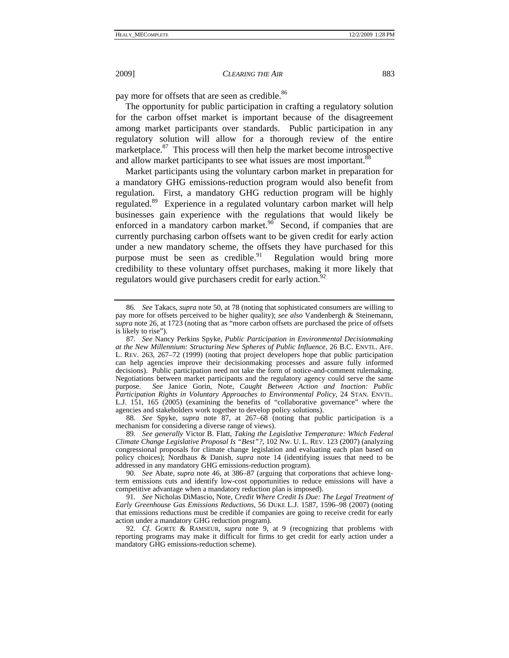pay more for offsets that are seen as credible.<sup>86</sup>

The opportunity for public participation in crafting a regulatory solution for the carbon offset market is important because of the disagreement among market participants over standards. Public participation in any regulatory solution will allow for a thorough review of the entire marketplace.<sup>87</sup> This process will then help the market become introspective and allow market participants to see what issues are most important.<sup>88</sup>

Market participants using the voluntary carbon market in preparation for a mandatory GHG emissions-reduction program would also benefit from regulation. First, a mandatory GHG reduction program will be highly regulated.<sup>89</sup> Experience in a regulated voluntary carbon market will help businesses gain experience with the regulations that would likely be enforced in a mandatory carbon market. $90$  Second, if companies that are currently purchasing carbon offsets want to be given credit for early action under a new mandatory scheme, the offsets they have purchased for this purpose must be seen as credible. $91$  Regulation would bring more credibility to these voluntary offset purchases, making it more likely that regulators would give purchasers credit for early action.<sup>92</sup>

88*. See* Spyke, *supra* note 87, at 267–68 (noting that public participation is a mechanism for considering a diverse range of views).

<sup>86</sup>*. See* Takacs, *supra* note 50, at 78 (noting that sophisticated consumers are willing to pay more for offsets perceived to be higher quality); *see also* Vandenbergh & Steinemann, *supra* note 26, at 1723 (noting that as "more carbon offsets are purchased the price of offsets is likely to rise").

<sup>87</sup>*. See* Nancy Perkins Spyke, *Public Participation in Environmental Decisionmaking at the New Millennium: Structuring New Spheres of Public Influence*, 26 B.C. ENVTL. AFF. L. REV. 263, 267–72 (1999) (noting that project developers hope that public participation can help agencies improve their decisionmaking processes and assure fully informed decisions). Public participation need not take the form of notice-and-comment rulemaking. Negotiations between market participants and the regulatory agency could serve the same purpose. *See* Janice Gorin, Note, *Caught Between Action and Inaction: Public Participation Rights in Voluntary Approaches to Environmental Policy*, 24 STAN. ENVTL. L.J. 151, 165 (2005) (examining the benefits of "collaborative governance" where the agencies and stakeholders work together to develop policy solutions).

<sup>89</sup>*. See generally* Victor B. Flatt, *Taking the Legislative Temperature: Which Federal Climate Change Legislative Proposal Is "Best"?*, 102 NW. U. L. REV. 123 (2007) (analyzing congressional proposals for climate change legislation and evaluating each plan based on policy choices); Nordhaus & Danish, *supra* note 14 (identifying issues that need to be addressed in any mandatory GHG emissions-reduction program).

<sup>90</sup>*. See* Abate, *supra* note 46, at 386–87 (arguing that corporations that achieve longterm emissions cuts and identify low-cost opportunities to reduce emissions will have a competitive advantage when a mandatory reduction plan is imposed).

<sup>91</sup>*. See* Nicholas DiMascio, Note, *Credit Where Credit Is Due: The Legal Treatment of Early Greenhouse Gas Emissions Reductions*, 56 DUKE L.J. 1587, 1596–98 (2007) (noting that emissions reductions must be credible if companies are going to receive credit for early action under a mandatory GHG reduction program).

<sup>92</sup>*. Cf.* GORTE & RAMSEUR, *supra* note 9, at 9 (recognizing that problems with reporting programs may make it difficult for firms to get credit for early action under a mandatory GHG emissions-reduction scheme).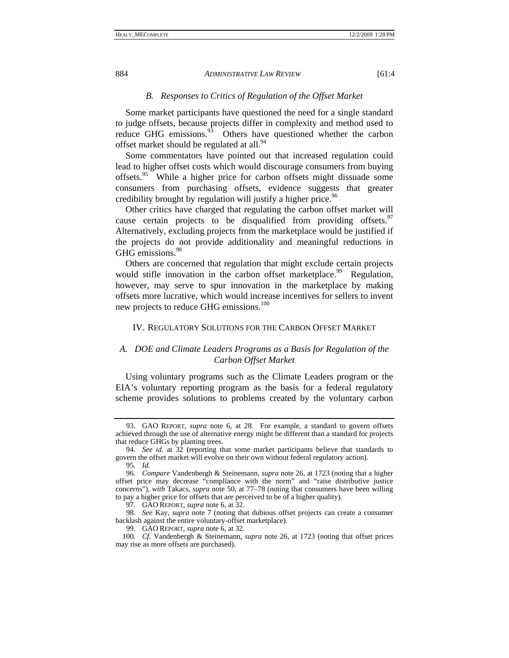## *B. Responses to Critics of Regulation of the Offset Market*

Some market participants have questioned the need for a single standard to judge offsets, because projects differ in complexity and method used to reduce GHG emissions. $93$  Others have questioned whether the carbon offset market should be regulated at all.<sup>94</sup>

Some commentators have pointed out that increased regulation could lead to higher offset costs which would discourage consumers from buying offsets.<sup>95</sup> While a higher price for carbon offsets might dissuade some consumers from purchasing offsets, evidence suggests that greater credibility brought by regulation will justify a higher price.<sup>96</sup>

Other critics have charged that regulating the carbon offset market will cause certain projects to be disqualified from providing offsets.  $97$ Alternatively, excluding projects from the marketplace would be justified if the projects do not provide additionality and meaningful reductions in GHG emissions.<sup>98</sup>

Others are concerned that regulation that might exclude certain projects would stifle innovation in the carbon offset marketplace.<sup>99</sup> Regulation, however, may serve to spur innovation in the marketplace by making offsets more lucrative, which would increase incentives for sellers to invent new projects to reduce GHG emissions.<sup>100</sup>

## IV. REGULATORY SOLUTIONS FOR THE CARBON OFFSET MARKET

# *A. DOE and Climate Leaders Programs as a Basis for Regulation of the Carbon Offset Market*

Using voluntary programs such as the Climate Leaders program or the EIA's voluntary reporting program as the basis for a federal regulatory scheme provides solutions to problems created by the voluntary carbon

 <sup>93.</sup> GAO REPORT, *supra* note 6, at 28. For example, a standard to govern offsets achieved through the use of alternative energy might be different than a standard for projects that reduce GHGs by planting trees.

<sup>94</sup>*. See id.* at 32 (reporting that some market participants believe that standards to govern the offset market will evolve on their own without federal regulatory action).

<sup>95</sup>*. Id.*

<sup>96</sup>*. Compare* Vandenbergh & Steinemann, *supra* note 26, at 1723 (noting that a higher offset price may decrease "compliance with the norm" and "raise distributive justice concerns"), *with* Takacs, *supra* note 50, at 77–78 (noting that consumers have been willing to pay a higher price for offsets that are perceived to be of a higher quality).

 <sup>97.</sup> GAO REPORT, *supra* note 6, at 32.

<sup>98</sup>*. See* Kay, *supra* note 7 (noting that dubious offset projects can create a consumer backlash against the entire voluntary-offset marketplace).

 <sup>99.</sup> GAO REPORT, *supra* note 6, at 32.

<sup>100</sup>*. Cf.* Vandenbergh & Steinemann, *supra* note 26, at 1723 (noting that offset prices may rise as more offsets are purchased).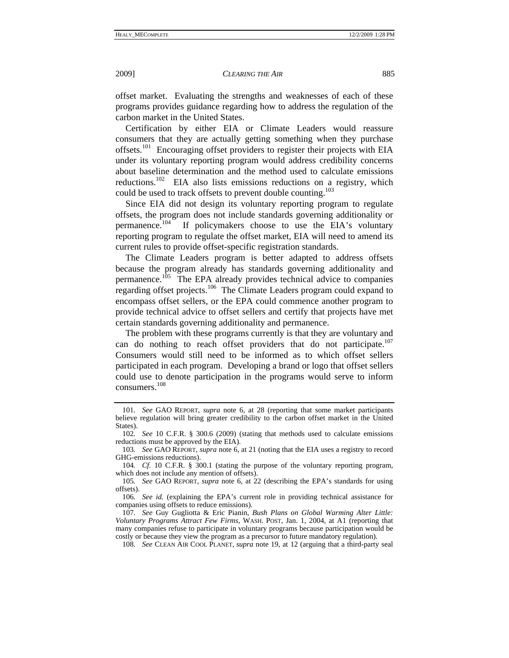offset market. Evaluating the strengths and weaknesses of each of these programs provides guidance regarding how to address the regulation of the carbon market in the United States.

Certification by either EIA or Climate Leaders would reassure consumers that they are actually getting something when they purchase offsets.<sup>101</sup> Encouraging offset providers to register their projects with EIA under its voluntary reporting program would address credibility concerns about baseline determination and the method used to calculate emissions reductions.102 EIA also lists emissions reductions on a registry, which could be used to track offsets to prevent double counting.<sup>103</sup>

Since EIA did not design its voluntary reporting program to regulate offsets, the program does not include standards governing additionality or permanence.104 If policymakers choose to use the EIA's voluntary reporting program to regulate the offset market, EIA will need to amend its current rules to provide offset-specific registration standards.

The Climate Leaders program is better adapted to address offsets because the program already has standards governing additionality and permanence.<sup>105</sup> The EPA already provides technical advice to companies regarding offset projects.<sup>106</sup> The Climate Leaders program could expand to encompass offset sellers, or the EPA could commence another program to provide technical advice to offset sellers and certify that projects have met certain standards governing additionality and permanence.

The problem with these programs currently is that they are voluntary and can do nothing to reach offset providers that do not participate.<sup>107</sup> Consumers would still need to be informed as to which offset sellers participated in each program. Developing a brand or logo that offset sellers could use to denote participation in the programs would serve to inform consumers.<sup>108</sup>

<sup>101</sup>*. See* GAO REPORT, *supra* note 6, at 28 (reporting that some market participants believe regulation will bring greater credibility to the carbon offset market in the United States).

<sup>102</sup>*. See* 10 C.F.R. § 300.6 (2009) (stating that methods used to calculate emissions reductions must be approved by the EIA).

<sup>103</sup>*. See* GAO REPORT, *supra* note 6, at 21 (noting that the EIA uses a registry to record GHG-emissions reductions).

<sup>104</sup>*. Cf.* 10 C.F.R. § 300.1 (stating the purpose of the voluntary reporting program, which does not include any mention of offsets).

<sup>105</sup>*. See* GAO REPORT, *supra* note 6, at 22 (describing the EPA's standards for using offsets).

<sup>106</sup>*. See id.* (explaining the EPA's current role in providing technical assistance for companies using offsets to reduce emissions).

<sup>107</sup>*. See* Guy Gugliotta & Eric Pianin, *Bush Plans on Global Warming Alter Little: Voluntary Programs Attract Few Firms*, WASH. POST, Jan. 1, 2004, at A1 (reporting that many companies refuse to participate in voluntary programs because participation would be costly or because they view the program as a precursor to future mandatory regulation).

<sup>108</sup>*. See* CLEAN AIR COOL PLANET, *supra* note 19, at 12 (arguing that a third-party seal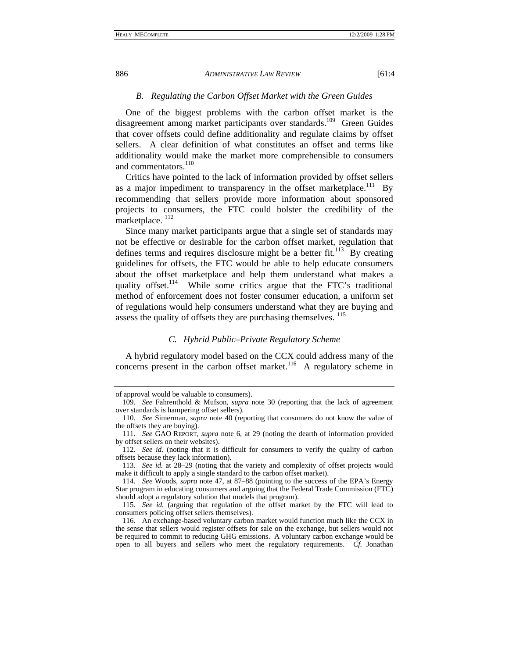#### *B. Regulating the Carbon Offset Market with the Green Guides*

One of the biggest problems with the carbon offset market is the disagreement among market participants over standards.<sup>109</sup> Green Guides that cover offsets could define additionality and regulate claims by offset sellers. A clear definition of what constitutes an offset and terms like additionality would make the market more comprehensible to consumers and commentators.<sup>110</sup>

Critics have pointed to the lack of information provided by offset sellers as a major impediment to transparency in the offset marketplace.<sup>111</sup> By recommending that sellers provide more information about sponsored projects to consumers, the FTC could bolster the credibility of the marketplace.<sup>112</sup>

Since many market participants argue that a single set of standards may not be effective or desirable for the carbon offset market, regulation that defines terms and requires disclosure might be a better fit.<sup>113</sup> By creating guidelines for offsets, the FTC would be able to help educate consumers about the offset marketplace and help them understand what makes a quality offset.<sup>114</sup> While some critics argue that the FTC's traditional method of enforcement does not foster consumer education, a uniform set of regulations would help consumers understand what they are buying and assess the quality of offsets they are purchasing themselves. <sup>115</sup>

## *C. Hybrid Public–Private Regulatory Scheme*

A hybrid regulatory model based on the CCX could address many of the concerns present in the carbon offset market.<sup>116</sup> A regulatory scheme in

of approval would be valuable to consumers).

<sup>109</sup>*. See* Fahrenthold & Mufson, *supra* note 30 (reporting that the lack of agreement over standards is hampering offset sellers).

<sup>110</sup>*. See* Simerman, *supra* note 40 (reporting that consumers do not know the value of the offsets they are buying).

<sup>111</sup>*. See* GAO REPORT, *supra* note 6, at 29 (noting the dearth of information provided by offset sellers on their websites).

<sup>112</sup>*. See id.* (noting that it is difficult for consumers to verify the quality of carbon offsets because they lack information).

<sup>113</sup>*. See id.* at 28–29 (noting that the variety and complexity of offset projects would make it difficult to apply a single standard to the carbon offset market).

<sup>114</sup>*. See* Woods, *supra* note 47, at 87–88 (pointing to the success of the EPA's Energy Star program in educating consumers and arguing that the Federal Trade Commission (FTC) should adopt a regulatory solution that models that program).

<sup>115</sup>*. See id.* (arguing that regulation of the offset market by the FTC will lead to consumers policing offset sellers themselves).

 <sup>116.</sup> An exchange-based voluntary carbon market would function much like the CCX in the sense that sellers would register offsets for sale on the exchange, but sellers would not be required to commit to reducing GHG emissions. A voluntary carbon exchange would be open to all buyers and sellers who meet the regulatory requirements. *Cf.* Jonathan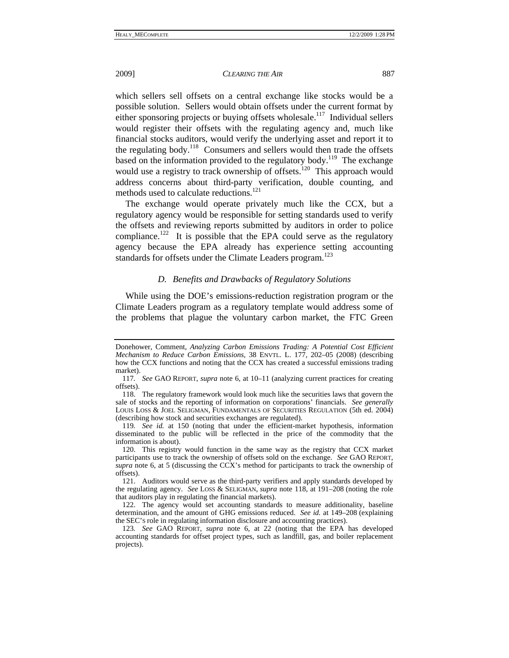which sellers sell offsets on a central exchange like stocks would be a possible solution. Sellers would obtain offsets under the current format by either sponsoring projects or buying offsets wholesale.<sup>117</sup> Individual sellers would register their offsets with the regulating agency and, much like financial stocks auditors, would verify the underlying asset and report it to the regulating body.118 Consumers and sellers would then trade the offsets based on the information provided to the regulatory body.<sup>119</sup> The exchange would use a registry to track ownership of offsets.<sup>120</sup> This approach would address concerns about third-party verification, double counting, and methods used to calculate reductions.<sup>121</sup>

The exchange would operate privately much like the CCX, but a regulatory agency would be responsible for setting standards used to verify the offsets and reviewing reports submitted by auditors in order to police compliance.<sup>122</sup> It is possible that the EPA could serve as the regulatory agency because the EPA already has experience setting accounting standards for offsets under the Climate Leaders program.<sup>123</sup>

## *D. Benefits and Drawbacks of Regulatory Solutions*

While using the DOE's emissions-reduction registration program or the Climate Leaders program as a regulatory template would address some of the problems that plague the voluntary carbon market, the FTC Green

Donehower, Comment, *Analyzing Carbon Emissions Trading: A Potential Cost Efficient Mechanism to Reduce Carbon Emissions*, 38 ENVTL. L. 177, 202–05 (2008) (describing how the CCX functions and noting that the CCX has created a successful emissions trading market).

<sup>117</sup>*. See* GAO REPORT, *supra* note 6, at 10–11 (analyzing current practices for creating offsets).

 <sup>118.</sup> The regulatory framework would look much like the securities laws that govern the sale of stocks and the reporting of information on corporations' financials. *See generally*  LOUIS LOSS & JOEL SELIGMAN, FUNDAMENTALS OF SECURITIES REGULATION (5th ed. 2004) (describing how stock and securities exchanges are regulated).

<sup>119</sup>*. See id.* at 150 (noting that under the efficient-market hypothesis, information disseminated to the public will be reflected in the price of the commodity that the information is about).

 <sup>120.</sup> This registry would function in the same way as the registry that CCX market participants use to track the ownership of offsets sold on the exchange. *See* GAO REPORT, *supra* note 6, at 5 (discussing the CCX's method for participants to track the ownership of offsets).

 <sup>121.</sup> Auditors would serve as the third-party verifiers and apply standards developed by the regulating agency. *See* LOSS & SELIGMAN, *supra* note 118, at 191–208 (noting the role that auditors play in regulating the financial markets).

 <sup>122.</sup> The agency would set accounting standards to measure additionality, baseline determination, and the amount of GHG emissions reduced. *See id.* at 149–208 (explaining the SEC'S role in regulating information disclosure and accounting practices).

<sup>123</sup>*. See* GAO REPORT, *supra* note 6, at 22 (noting that the EPA has developed accounting standards for offset project types, such as landfill, gas, and boiler replacement projects).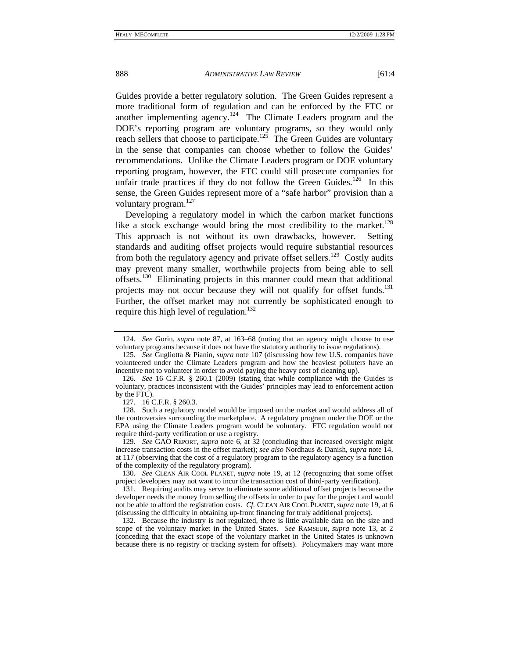Guides provide a better regulatory solution. The Green Guides represent a more traditional form of regulation and can be enforced by the FTC or another implementing agency.<sup>124</sup> The Climate Leaders program and the DOE's reporting program are voluntary programs, so they would only reach sellers that choose to participate.<sup>125</sup> The Green Guides are voluntary in the sense that companies can choose whether to follow the Guides' recommendations. Unlike the Climate Leaders program or DOE voluntary reporting program, however, the FTC could still prosecute companies for unfair trade practices if they do not follow the Green Guides.<sup>126</sup> In this sense, the Green Guides represent more of a "safe harbor" provision than a voluntary program.<sup>127</sup>

Developing a regulatory model in which the carbon market functions like a stock exchange would bring the most credibility to the market.<sup>128</sup> This approach is not without its own drawbacks, however. Setting standards and auditing offset projects would require substantial resources from both the regulatory agency and private offset sellers.<sup>129</sup> Costly audits may prevent many smaller, worthwhile projects from being able to sell offsets.130 Eliminating projects in this manner could mean that additional projects may not occur because they will not qualify for offset funds.<sup>131</sup> Further, the offset market may not currently be sophisticated enough to require this high level of regulation.<sup>132</sup>

<sup>124</sup>*. See* Gorin, *supra* note 87, at 163–68 (noting that an agency might choose to use voluntary programs because it does not have the statutory authority to issue regulations).

<sup>125</sup>*. See* Gugliotta & Pianin, *supra* note 107 (discussing how few U.S. companies have volunteered under the Climate Leaders program and how the heaviest polluters have an incentive not to volunteer in order to avoid paying the heavy cost of cleaning up).

<sup>126</sup>*. See* 16 C.F.R. § 260.1 (2009) (stating that while compliance with the Guides is voluntary, practices inconsistent with the Guides' principles may lead to enforcement action by the FTC).

<sup>127</sup>*.* 16 C.F.R. § 260.3.

 <sup>128.</sup> Such a regulatory model would be imposed on the market and would address all of the controversies surrounding the marketplace. A regulatory program under the DOE or the EPA using the Climate Leaders program would be voluntary. FTC regulation would not require third-party verification or use a registry.

<sup>129</sup>*. See* GAO REPORT, *supra* note 6, at 32 (concluding that increased oversight might increase transaction costs in the offset market); *see also* Nordhaus & Danish, *supra* note 14, at 117 (observing that the cost of a regulatory program to the regulatory agency is a function of the complexity of the regulatory program).

<sup>130</sup>*. See* CLEAN AIR COOL PLANET, *supra* note 19, at 12 (recognizing that some offset project developers may not want to incur the transaction cost of third-party verification).

 <sup>131.</sup> Requiring audits may serve to eliminate some additional offset projects because the developer needs the money from selling the offsets in order to pay for the project and would not be able to afford the registration costs. *Cf.* CLEAN AIR COOL PLANET, *supra* note 19, at 6 (discussing the difficulty in obtaining up-front financing for truly additional projects).

 <sup>132.</sup> Because the industry is not regulated, there is little available data on the size and scope of the voluntary market in the United States. *See* RAMSEUR, *supra* note 13, at 2 (conceding that the exact scope of the voluntary market in the United States is unknown because there is no registry or tracking system for offsets). Policymakers may want more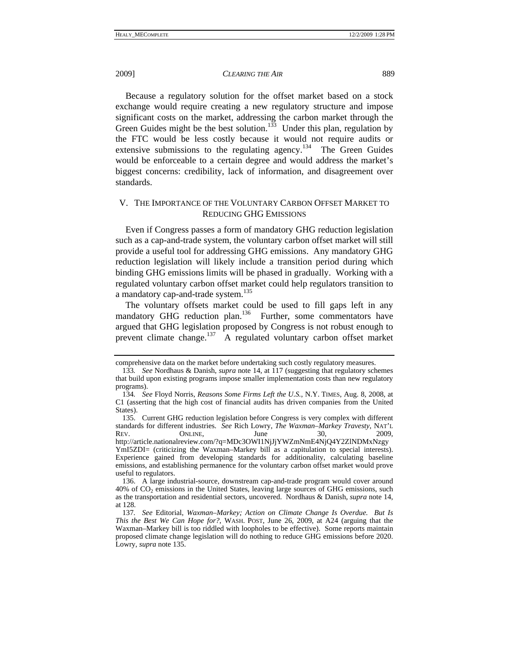Because a regulatory solution for the offset market based on a stock exchange would require creating a new regulatory structure and impose significant costs on the market, addressing the carbon market through the Green Guides might be the best solution.<sup>133</sup> Under this plan, regulation by the FTC would be less costly because it would not require audits or extensive submissions to the regulating agency.<sup>134</sup> The Green Guides would be enforceable to a certain degree and would address the market's biggest concerns: credibility, lack of information, and disagreement over standards.

# V. THE IMPORTANCE OF THE VOLUNTARY CARBON OFFSET MARKET TO REDUCING GHG EMISSIONS

Even if Congress passes a form of mandatory GHG reduction legislation such as a cap-and-trade system, the voluntary carbon offset market will still provide a useful tool for addressing GHG emissions. Any mandatory GHG reduction legislation will likely include a transition period during which binding GHG emissions limits will be phased in gradually. Working with a regulated voluntary carbon offset market could help regulators transition to a mandatory cap-and-trade system.<sup>135</sup>

The voluntary offsets market could be used to fill gaps left in any mandatory GHG reduction plan.<sup>136</sup> Further, some commentators have argued that GHG legislation proposed by Congress is not robust enough to prevent climate change.137 A regulated voluntary carbon offset market

comprehensive data on the market before undertaking such costly regulatory measures.

<sup>133</sup>*. See* Nordhaus & Danish, *supra* note 14, at 117 (suggesting that regulatory schemes that build upon existing programs impose smaller implementation costs than new regulatory programs).

<sup>134</sup>*. See* Floyd Norris, *Reasons Some Firms Left the U.S.*, N.Y. TIMES, Aug. 8, 2008, at C1 (asserting that the high cost of financial audits has driven companies from the United States).

 <sup>135.</sup> Current GHG reduction legislation before Congress is very complex with different standards for different industries. *See* Rich Lowry, *The Waxman–Markey Travesty*, NAT'L REV. ONLINE, June 30, 2009, http://article.nationalreview.com/?q=MDc3OWI1NjJjYWZmNmE4NjQ4Y2ZlNDMxNzgy YmI5ZDI= (criticizing the Waxman–Markey bill as a capitulation to special interests).

Experience gained from developing standards for additionality, calculating baseline emissions, and establishing permanence for the voluntary carbon offset market would prove useful to regulators.

 <sup>136.</sup> A large industrial-source, downstream cap-and-trade program would cover around  $40\%$  of  $CO<sub>2</sub>$  emissions in the United States, leaving large sources of GHG emissions, such as the transportation and residential sectors, uncovered. Nordhaus & Danish, *supra* note 14, at 128.

<sup>137</sup>*. See* Editorial, *Waxman–Markey; Action on Climate Change Is Overdue. But Is This the Best We Can Hope for?*, WASH. POST, June 26, 2009, at A24 (arguing that the Waxman–Markey bill is too riddled with loopholes to be effective). Some reports maintain proposed climate change legislation will do nothing to reduce GHG emissions before 2020. Lowry, *supra* note 135.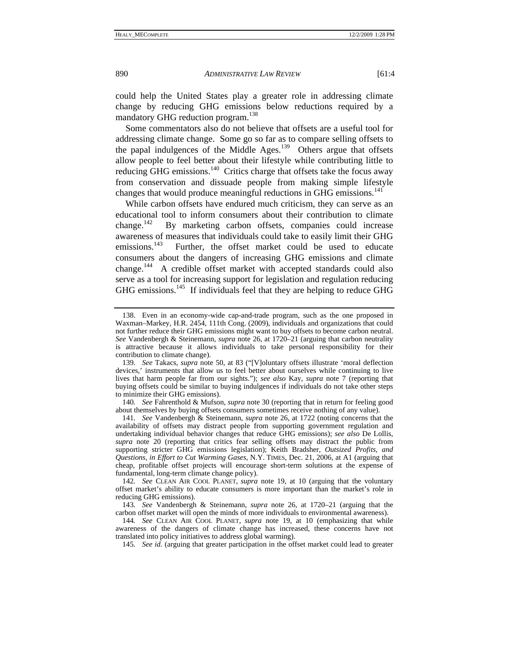could help the United States play a greater role in addressing climate change by reducing GHG emissions below reductions required by a mandatory GHG reduction program.<sup>138</sup>

Some commentators also do not believe that offsets are a useful tool for addressing climate change. Some go so far as to compare selling offsets to the papal indulgences of the Middle Ages.<sup>139</sup> Others argue that offsets allow people to feel better about their lifestyle while contributing little to reducing GHG emissions.<sup>140</sup> Critics charge that offsets take the focus away from conservation and dissuade people from making simple lifestyle changes that would produce meaningful reductions in GHG emissions.<sup>141</sup>

While carbon offsets have endured much criticism, they can serve as an educational tool to inform consumers about their contribution to climate change.142 By marketing carbon offsets, companies could increase awareness of measures that individuals could take to easily limit their GHG emissions.<sup>143</sup> Further, the offset market could be used to educate Further, the offset market could be used to educate consumers about the dangers of increasing GHG emissions and climate change.<sup>144</sup> A credible offset market with accepted standards could also serve as a tool for increasing support for legislation and regulation reducing GHG emissions.<sup>145</sup> If individuals feel that they are helping to reduce GHG

140*. See* Fahrenthold & Mufson, *supra* note 30 (reporting that in return for feeling good about themselves by buying offsets consumers sometimes receive nothing of any value).

 <sup>138.</sup> Even in an economy-wide cap-and-trade program, such as the one proposed in Waxman–Markey, H.R. 2454, 111th Cong. (2009), individuals and organizations that could not further reduce their GHG emissions might want to buy offsets to become carbon neutral. *See* Vandenbergh & Steinemann, *supra* note 26, at 1720–21 (arguing that carbon neutrality is attractive because it allows individuals to take personal responsibility for their contribution to climate change).

<sup>139</sup>*. See* Takacs, *supra* note 50, at 83 ("[V]oluntary offsets illustrate 'moral deflection devices,' instruments that allow us to feel better about ourselves while continuing to live lives that harm people far from our sights."); *see also* Kay, *supra* note 7 (reporting that buying offsets could be similar to buying indulgences if individuals do not take other steps to minimize their GHG emissions).

<sup>141</sup>*. See* Vandenbergh & Steinemann, *supra* note 26, at 1722 (noting concerns that the availability of offsets may distract people from supporting government regulation and undertaking individual behavior changes that reduce GHG emissions); *see also* De Lollis, *supra* note 20 (reporting that critics fear selling offsets may distract the public from supporting stricter GHG emissions legislation); Keith Bradsher, *Outsized Profits, and Questions, in Effort to Cut Warming Gases*, N.Y. TIMES, Dec. 21, 2006, at A1 (arguing that cheap, profitable offset projects will encourage short-term solutions at the expense of fundamental, long-term climate change policy).

<sup>142</sup>*. See* CLEAN AIR COOL PLANET, *supra* note 19, at 10 (arguing that the voluntary offset market's ability to educate consumers is more important than the market's role in reducing GHG emissions).

<sup>143</sup>*. See* Vandenbergh & Steinemann, *supra* note 26, at 1720–21 (arguing that the carbon offset market will open the minds of more individuals to environmental awareness).

<sup>144</sup>*. See* CLEAN AIR COOL PLANET, *supra* note 19, at 10 (emphasizing that while awareness of the dangers of climate change has increased, these concerns have not translated into policy initiatives to address global warming).

<sup>145</sup>*. See id.* (arguing that greater participation in the offset market could lead to greater